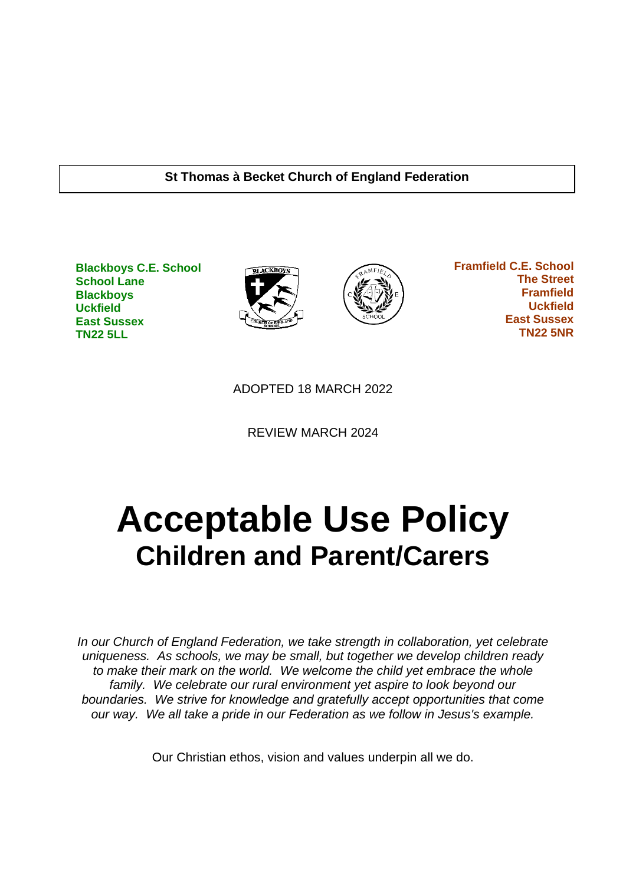#### **St Thomas à Becket Church of England Federation**

**Blackboys C.E. School School Lane Blackboys Uckfield East Sussex TN22 5LL**





 **Framfield C.E. School The Street Framfield Uckfield East Sussex TN22 5NR**

ADOPTED 18 MARCH 2022

REVIEW MARCH 2024

# **Acceptable Use Policy Children and Parent/Carers**

*In our Church of England Federation, we take strength in collaboration, yet celebrate uniqueness. As schools, we may be small, but together we develop children ready to make their mark on the world. We welcome the child yet embrace the whole family. We celebrate our rural environment yet aspire to look beyond our boundaries. We strive for knowledge and gratefully accept opportunities that come our way. We all take a pride in our Federation as we follow in Jesus's example.*

Our Christian ethos, vision and values underpin all we do.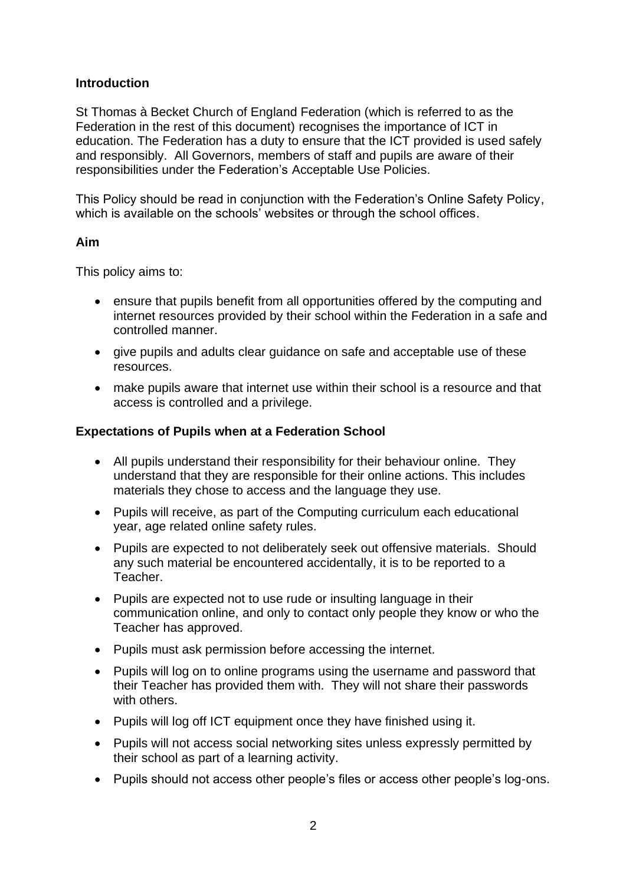## **Introduction**

St Thomas à Becket Church of England Federation (which is referred to as the Federation in the rest of this document) recognises the importance of ICT in education. The Federation has a duty to ensure that the ICT provided is used safely and responsibly. All Governors, members of staff and pupils are aware of their responsibilities under the Federation's Acceptable Use Policies.

This Policy should be read in conjunction with the Federation's Online Safety Policy, which is available on the schools' websites or through the school offices.

### **Aim**

This policy aims to:

- ensure that pupils benefit from all opportunities offered by the computing and internet resources provided by their school within the Federation in a safe and controlled manner.
- give pupils and adults clear guidance on safe and acceptable use of these resources.
- make pupils aware that internet use within their school is a resource and that access is controlled and a privilege.

## **Expectations of Pupils when at a Federation School**

- All pupils understand their responsibility for their behaviour online. They understand that they are responsible for their online actions. This includes materials they chose to access and the language they use.
- Pupils will receive, as part of the Computing curriculum each educational year, age related online safety rules.
- Pupils are expected to not deliberately seek out offensive materials. Should any such material be encountered accidentally, it is to be reported to a Teacher.
- Pupils are expected not to use rude or insulting language in their communication online, and only to contact only people they know or who the Teacher has approved.
- Pupils must ask permission before accessing the internet.
- Pupils will log on to online programs using the username and password that their Teacher has provided them with. They will not share their passwords with others.
- Pupils will log off ICT equipment once they have finished using it.
- Pupils will not access social networking sites unless expressly permitted by their school as part of a learning activity.
- Pupils should not access other people's files or access other people's log-ons.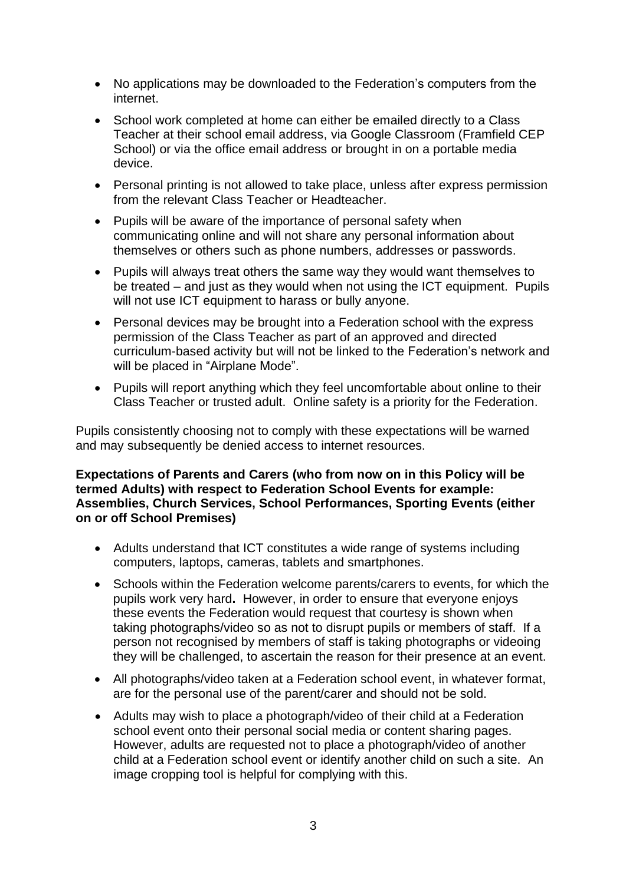- No applications may be downloaded to the Federation's computers from the internet.
- School work completed at home can either be emailed directly to a Class Teacher at their school email address, via Google Classroom (Framfield CEP School) or via the office email address or brought in on a portable media device.
- Personal printing is not allowed to take place, unless after express permission from the relevant Class Teacher or Headteacher.
- Pupils will be aware of the importance of personal safety when communicating online and will not share any personal information about themselves or others such as phone numbers, addresses or passwords.
- Pupils will always treat others the same way they would want themselves to be treated – and just as they would when not using the ICT equipment. Pupils will not use ICT equipment to harass or bully anyone.
- Personal devices may be brought into a Federation school with the express permission of the Class Teacher as part of an approved and directed curriculum-based activity but will not be linked to the Federation's network and will be placed in "Airplane Mode".
- Pupils will report anything which they feel uncomfortable about online to their Class Teacher or trusted adult. Online safety is a priority for the Federation.

Pupils consistently choosing not to comply with these expectations will be warned and may subsequently be denied access to internet resources.

#### **Expectations of Parents and Carers (who from now on in this Policy will be termed Adults) with respect to Federation School Events for example: Assemblies, Church Services, School Performances, Sporting Events (either on or off School Premises)**

- Adults understand that ICT constitutes a wide range of systems including computers, laptops, cameras, tablets and smartphones.
- Schools within the Federation welcome parents/carers to events, for which the pupils work very hard**.** However, in order to ensure that everyone enjoys these events the Federation would request that courtesy is shown when taking photographs/video so as not to disrupt pupils or members of staff. If a person not recognised by members of staff is taking photographs or videoing they will be challenged, to ascertain the reason for their presence at an event.
- All photographs/video taken at a Federation school event, in whatever format, are for the personal use of the parent/carer and should not be sold.
- Adults may wish to place a photograph/video of their child at a Federation school event onto their personal social media or content sharing pages. However, adults are requested not to place a photograph/video of another child at a Federation school event or identify another child on such a site. An image cropping tool is helpful for complying with this.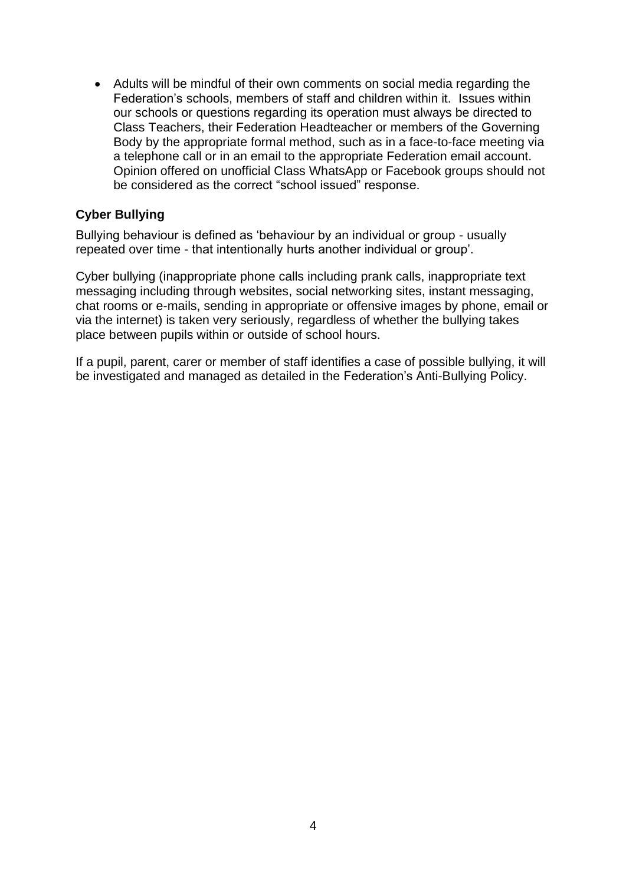• Adults will be mindful of their own comments on social media regarding the Federation's schools, members of staff and children within it. Issues within our schools or questions regarding its operation must always be directed to Class Teachers, their Federation Headteacher or members of the Governing Body by the appropriate formal method, such as in a face-to-face meeting via a telephone call or in an email to the appropriate Federation email account. Opinion offered on unofficial Class WhatsApp or Facebook groups should not be considered as the correct "school issued" response.

## **Cyber Bullying**

Bullying behaviour is defined as 'behaviour by an individual or group - usually repeated over time - that intentionally hurts another individual or group'.

Cyber bullying (inappropriate phone calls including prank calls, inappropriate text messaging including through websites, social networking sites, instant messaging, chat rooms or e-mails, sending in appropriate or offensive images by phone, email or via the internet) is taken very seriously, regardless of whether the bullying takes place between pupils within or outside of school hours.

If a pupil, parent, carer or member of staff identifies a case of possible bullying, it will be investigated and managed as detailed in the Federation's Anti-Bullying Policy.